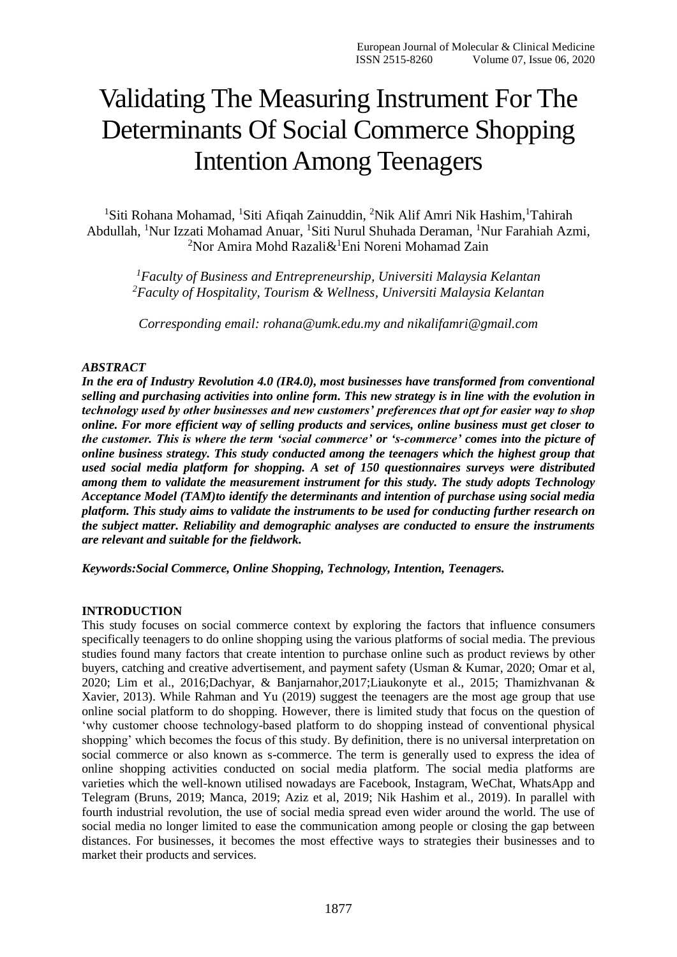# Validating The Measuring Instrument For The Determinants Of Social Commerce Shopping Intention Among Teenagers

<sup>1</sup>Siti Rohana Mohamad, <sup>1</sup>Siti Afiqah Zainuddin, <sup>2</sup>Nik Alif Amri Nik Hashim, <sup>1</sup>Tahirah Abdullah, <sup>1</sup>Nur Izzati Mohamad Anuar, <sup>1</sup>Siti Nurul Shuhada Deraman, <sup>1</sup>Nur Farahiah Azmi, <sup>2</sup>Nor Amira Mohd Razali $\&$ <sup>1</sup>Eni Noreni Mohamad Zain

*<sup>1</sup>Faculty of Business and Entrepreneurship, Universiti Malaysia Kelantan <sup>2</sup>Faculty of Hospitality, Tourism & Wellness, Universiti Malaysia Kelantan*

*Corresponding email: rohana@umk.edu.my and nikalifamri@gmail.com*

#### *ABSTRACT*

*In the era of Industry Revolution 4.0 (IR4.0), most businesses have transformed from conventional selling and purchasing activities into online form. This new strategy is in line with the evolution in technology used by other businesses and new customers' preferences that opt for easier way to shop online. For more efficient way of selling products and services, online business must get closer to the customer. This is where the term 'social commerce' or 's-commerce' comes into the picture of online business strategy. This study conducted among the teenagers which the highest group that used social media platform for shopping. A set of 150 questionnaires surveys were distributed among them to validate the measurement instrument for this study. The study adopts Technology Acceptance Model (TAM)to identify the determinants and intention of purchase using social media platform. This study aims to validate the instruments to be used for conducting further research on the subject matter. Reliability and demographic analyses are conducted to ensure the instruments are relevant and suitable for the fieldwork.*

*Keywords:Social Commerce, Online Shopping, Technology, Intention, Teenagers.*

#### **INTRODUCTION**

This study focuses on social commerce context by exploring the factors that influence consumers specifically teenagers to do online shopping using the various platforms of social media. The previous studies found many factors that create intention to purchase online such as product reviews by other buyers, catching and creative advertisement, and payment safety (Usman & Kumar, 2020; Omar et al, 2020; Lim et al., 2016;Dachyar, & Banjarnahor,2017;Liaukonyte et al., 2015; Thamizhvanan & Xavier, 2013). While Rahman and Yu (2019) suggest the teenagers are the most age group that use online social platform to do shopping. However, there is limited study that focus on the question of 'why customer choose technology-based platform to do shopping instead of conventional physical shopping' which becomes the focus of this study. By definition, there is no universal interpretation on social commerce or also known as s-commerce. The term is generally used to express the idea of online shopping activities conducted on social media platform. The social media platforms are varieties which the well-known utilised nowadays are Facebook, Instagram, WeChat, WhatsApp and Telegram (Bruns, 2019; Manca, 2019; Aziz et al, 2019; Nik Hashim et al., 2019). In parallel with fourth industrial revolution, the use of social media spread even wider around the world. The use of social media no longer limited to ease the communication among people or closing the gap between distances. For businesses, it becomes the most effective ways to strategies their businesses and to market their products and services.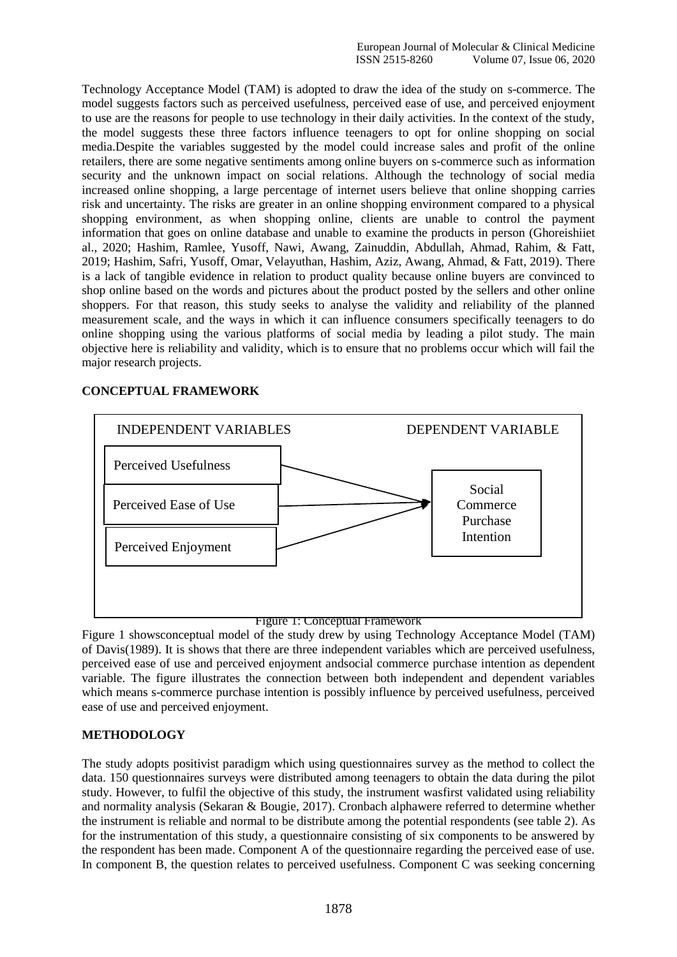Technology Acceptance Model (TAM) is adopted to draw the idea of the study on s-commerce. The model suggests factors such as perceived usefulness, perceived ease of use, and perceived enjoyment to use are the reasons for people to use technology in their daily activities. In the context of the study, the model suggests these three factors influence teenagers to opt for online shopping on social media.Despite the variables suggested by the model could increase sales and profit of the online retailers, there are some negative sentiments among online buyers on s-commerce such as information security and the unknown impact on social relations. Although the technology of social media increased online shopping, a large percentage of internet users believe that online shopping carries risk and uncertainty. The risks are greater in an online shopping environment compared to a physical shopping environment, as when shopping online, clients are unable to control the payment information that goes on online database and unable to examine the products in person (Ghoreishiiet al., 2020; Hashim, Ramlee, Yusoff, Nawi, Awang, Zainuddin, Abdullah, Ahmad, Rahim, & Fatt, 2019; Hashim, Safri, Yusoff, Omar, Velayuthan, Hashim, Aziz, Awang, Ahmad, & Fatt, 2019). There is a lack of tangible evidence in relation to product quality because online buyers are convinced to shop online based on the words and pictures about the product posted by the sellers and other online shoppers. For that reason, this study seeks to analyse the validity and reliability of the planned measurement scale, and the ways in which it can influence consumers specifically teenagers to do online shopping using the various platforms of social media by leading a pilot study. The main objective here is reliability and validity, which is to ensure that no problems occur which will fail the major research projects.

# INDEPENDENT VARIABLES DEPENDENT VARIABLE Perceived Usefulness Perceived Ease of Use Perceived Enjoyment Social Commerce Purchase **Intention**

#### **CONCEPTUAL FRAMEWORK**

#### Figure 1: Conceptual Framework

Figure 1 showsconceptual model of the study drew by using Technology Acceptance Model (TAM) of Davis(1989). It is shows that there are three independent variables which are perceived usefulness, perceived ease of use and perceived enjoyment andsocial commerce purchase intention as dependent variable. The figure illustrates the connection between both independent and dependent variables which means s-commerce purchase intention is possibly influence by perceived usefulness, perceived ease of use and perceived enjoyment.

## **METHODOLOGY**

The study adopts positivist paradigm which using questionnaires survey as the method to collect the data. 150 questionnaires surveys were distributed among teenagers to obtain the data during the pilot study. However, to fulfil the objective of this study, the instrument wasfirst validated using reliability and normality analysis (Sekaran & Bougie, 2017). Cronbach alphawere referred to determine whether the instrument is reliable and normal to be distribute among the potential respondents (see table 2). As for the instrumentation of this study, a questionnaire consisting of six components to be answered by the respondent has been made. Component A of the questionnaire regarding the perceived ease of use. In component B, the question relates to perceived usefulness. Component C was seeking concerning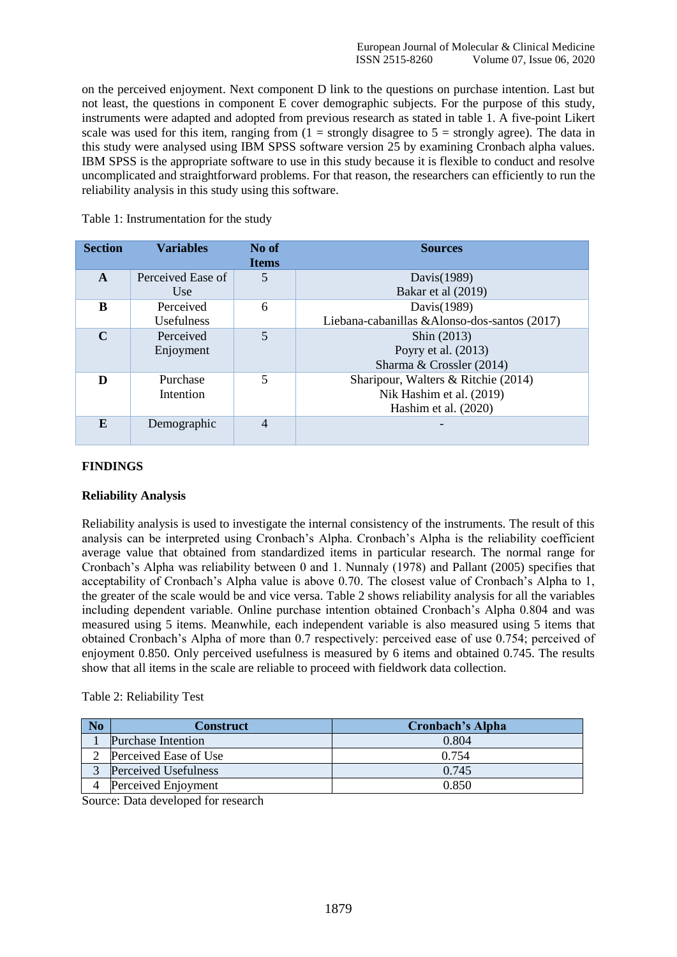on the perceived enjoyment. Next component D link to the questions on purchase intention. Last but not least, the questions in component E cover demographic subjects. For the purpose of this study, instruments were adapted and adopted from previous research as stated in table 1. A five-point Likert scale was used for this item, ranging from  $(1 =$  strongly disagree to  $5 =$  strongly agree). The data in this study were analysed using IBM SPSS software version 25 by examining Cronbach alpha values. IBM SPSS is the appropriate software to use in this study because it is flexible to conduct and resolve uncomplicated and straightforward problems. For that reason, the researchers can efficiently to run the reliability analysis in this study using this software.

| <b>Section</b> | <b>Variables</b>  | No of<br><b>Items</b> | <b>Sources</b>                                |
|----------------|-------------------|-----------------------|-----------------------------------------------|
| $\mathbf{A}$   | Perceived Ease of | 5                     | Davis(1989)                                   |
|                | Use               |                       | Bakar et al (2019)                            |
| R              | Perceived         | 6                     | Davis(1989)                                   |
|                | <b>Usefulness</b> |                       | Liebana-cabanillas & Alonso-dos-santos (2017) |
| $\mathbf C$    | Perceived         | 5                     | Shin (2013)                                   |
|                | Enjoyment         |                       | Poyry et al. (2013)                           |
|                |                   |                       | Sharma & Crossler (2014)                      |
| D              | Purchase          | 5                     | Sharipour, Walters & Ritchie (2014)           |
|                | Intention         |                       | Nik Hashim et al. (2019)                      |
|                |                   |                       | Hashim et al. (2020)                          |
| $\mathbf{F}$   | Demographic       | $\overline{4}$        |                                               |

Table 1: Instrumentation for the study

#### **FINDINGS**

#### **Reliability Analysis**

Reliability analysis is used to investigate the internal consistency of the instruments. The result of this analysis can be interpreted using Cronbach's Alpha. Cronbach's Alpha is the reliability coefficient average value that obtained from standardized items in particular research. The normal range for Cronbach's Alpha was reliability between 0 and 1. Nunnaly (1978) and Pallant (2005) specifies that acceptability of Cronbach's Alpha value is above 0.70. The closest value of Cronbach's Alpha to 1, the greater of the scale would be and vice versa. Table 2 shows reliability analysis for all the variables including dependent variable. Online purchase intention obtained Cronbach's Alpha 0.804 and was measured using 5 items. Meanwhile, each independent variable is also measured using 5 items that obtained Cronbach's Alpha of more than 0.7 respectively: perceived ease of use 0.754; perceived of enjoyment 0.850. Only perceived usefulness is measured by 6 items and obtained 0.745. The results show that all items in the scale are reliable to proceed with fieldwork data collection.

#### Table 2: Reliability Test

| N <sub>o</sub> | Construct             | <b>Cronbach's Alpha</b> |
|----------------|-----------------------|-------------------------|
|                | Purchase Intention    | 0.804                   |
|                | Perceived Ease of Use | 0.754                   |
|                | Perceived Usefulness  | 0.745                   |
|                | Perceived Enjoyment   | 0.850                   |

Source: Data developed for research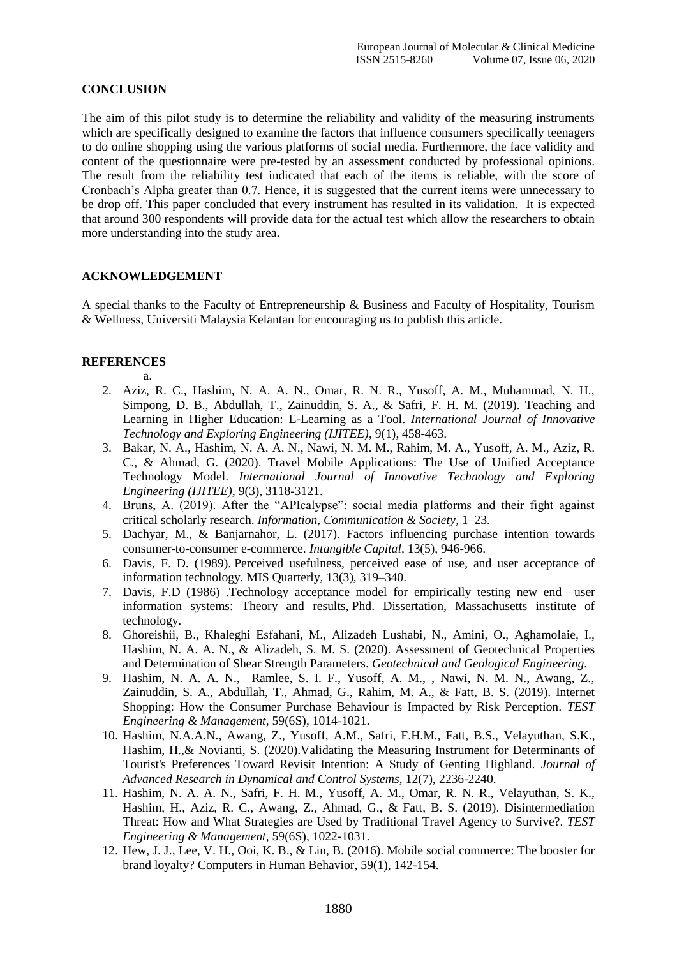#### **CONCLUSION**

The aim of this pilot study is to determine the reliability and validity of the measuring instruments which are specifically designed to examine the factors that influence consumers specifically teenagers to do online shopping using the various platforms of social media. Furthermore, the face validity and content of the questionnaire were pre-tested by an assessment conducted by professional opinions. The result from the reliability test indicated that each of the items is reliable, with the score of Cronbach's Alpha greater than 0.7. Hence, it is suggested that the current items were unnecessary to be drop off. This paper concluded that every instrument has resulted in its validation. It is expected that around 300 respondents will provide data for the actual test which allow the researchers to obtain more understanding into the study area.

#### **ACKNOWLEDGEMENT**

A special thanks to the Faculty of Entrepreneurship & Business and Faculty of Hospitality, Tourism & Wellness, Universiti Malaysia Kelantan for encouraging us to publish this article.

### **REFERENCES**

- a. 2. Aziz, R. C., Hashim, N. A. A. N., Omar, R. N. R., Yusoff, A. M., Muhammad, N. H., Simpong, D. B., Abdullah, T., Zainuddin, S. A., & Safri, F. H. M. (2019). Teaching and Learning in Higher Education: E-Learning as a Tool. *International Journal of Innovative Technology and Exploring Engineering (IJITEE)*, 9(1), 458-463.
- 3. Bakar, N. A., Hashim, N. A. A. N., Nawi, N. M. M., Rahim, M. A., Yusoff, A. M., Aziz, R. C., & Ahmad, G. (2020). Travel Mobile Applications: The Use of Unified Acceptance Technology Model. *International Journal of Innovative Technology and Exploring Engineering (IJITEE)*, 9(3), 3118-3121.
- 4. Bruns, A. (2019). After the "APIcalypse": social media platforms and their fight against critical scholarly research. *Information, Communication & Society*, 1–23.
- 5. Dachyar, M., & Banjarnahor, L. (2017). Factors influencing purchase intention towards consumer-to-consumer e-commerce. *Intangible Capital,* 13(5), 946-966.
- 6. Davis, F. D. (1989). Perceived usefulness, perceived ease of use, and user acceptance of information technology. MIS Quarterly, 13(3), 319–340.
- 7. Davis, F.D (1986) .Technology acceptance model for empirically testing new end –user information systems: Theory and results, Phd. Dissertation, Massachusetts institute of technology.
- 8. Ghoreishii, B., Khaleghi Esfahani, M., Alizadeh Lushabi, N., Amini, O., Aghamolaie, I., Hashim, N. A. A. N., & Alizadeh, S. M. S. (2020). Assessment of Geotechnical Properties and Determination of Shear Strength Parameters. *Geotechnical and Geological Engineering.*
- 9. Hashim, N. A. A. N., Ramlee, S. I. F., Yusoff, A. M., , Nawi, N. M. N., Awang, Z., Zainuddin, S. A., Abdullah, T., Ahmad, G., Rahim, M. A., & Fatt, B. S. (2019). Internet Shopping: How the Consumer Purchase Behaviour is Impacted by Risk Perception. *TEST Engineering & Management*, 59(6S), 1014-1021.
- 10. Hashim, N.A.A.N., Awang, Z., Yusoff, A.M., Safri, F.H.M., Fatt, B.S., Velayuthan*,* S.K., Hashim, H.,& Novianti, S. (2020).Validating the Measuring Instrument for Determinants of Tourist's Preferences Toward Revisit Intention: A Study of Genting Highland. *Journal of Advanced Research in Dynamical and Control Systems*, 12(7), 2236-2240.
- 11. Hashim, N. A. A. N., Safri, F. H. M., Yusoff, A. M., Omar, R. N. R., Velayuthan, S. K., Hashim, H., Aziz, R. C., Awang, Z., Ahmad, G., & Fatt, B. S. (2019). Disintermediation Threat: How and What Strategies are Used by Traditional Travel Agency to Survive?. *TEST Engineering & Management*, 59(6S), 1022-1031.
- 12. Hew, J. J., Lee, V. H., Ooi, K. B., & Lin, B. (2016). Mobile social commerce: The booster for brand loyalty? Computers in Human Behavior, 59(1), 142-154.